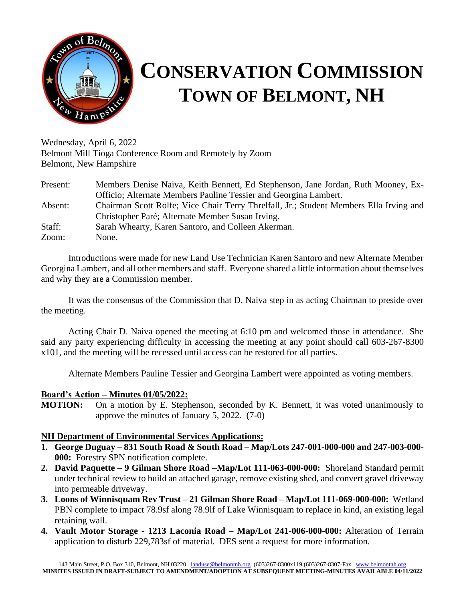

# **CONSERVATION COMMISSION TOWN OF BELMONT, NH**

Wednesday, April 6, 2022 Belmont Mill Tioga Conference Room and Remotely by Zoom Belmont, New Hampshire

| Present: | Members Denise Naiva, Keith Bennett, Ed Stephenson, Jane Jordan, Ruth Mooney, Ex-      |
|----------|----------------------------------------------------------------------------------------|
|          | Officio; Alternate Members Pauline Tessier and Georgina Lambert.                       |
| Absent:  | Chairman Scott Rolfe; Vice Chair Terry Threlfall, Jr.; Student Members Ella Irving and |
|          | Christopher Paré; Alternate Member Susan Irving.                                       |
| Staff:   | Sarah Whearty, Karen Santoro, and Colleen Akerman.                                     |
| Zoom:    | None.                                                                                  |

Introductions were made for new Land Use Technician Karen Santoro and new Alternate Member Georgina Lambert, and all other members and staff. Everyone shared a little information about themselves and why they are a Commission member.

It was the consensus of the Commission that D. Naiva step in as acting Chairman to preside over the meeting.

Acting Chair D. Naiva opened the meeting at 6:10 pm and welcomed those in attendance. She said any party experiencing difficulty in accessing the meeting at any point should call 603-267-8300 x101, and the meeting will be recessed until access can be restored for all parties.

Alternate Members Pauline Tessier and Georgina Lambert were appointed as voting members.

#### **Board's Action – Minutes 01/05/2022:**

**MOTION:** On a motion by E. Stephenson, seconded by K. Bennett, it was voted unanimously to approve the minutes of January 5, 2022. (7-0)

## **NH Department of Environmental Services Applications:**

- **1. George Duguay – 831 South Road & South Road – Map/Lots 247-001-000-000 and 247-003-000- 000:** Forestry SPN notification complete.
- **2. David Paquette – 9 Gilman Shore Road –Map/Lot 111-063-000-000:** Shoreland Standard permit under technical review to build an attached garage, remove existing shed, and convert gravel driveway into permeable driveway.
- **3. Loons of Winnisquam Rev Trust – 21 Gilman Shore Road – Map/Lot 111-069-000-000:** Wetland PBN complete to impact 78.9sf along 78.9lf of Lake Winnisquam to replace in kind, an existing legal retaining wall.
- **4. Vault Motor Storage - 1213 Laconia Road – Map/Lot 241-006-000-000:** Alteration of Terrain application to disturb 229,783sf of material. DES sent a request for more information.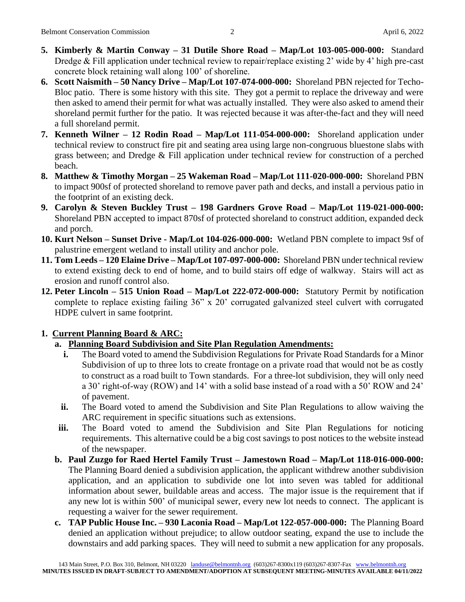- **5. Kimberly & Martin Conway – 31 Dutile Shore Road – Map/Lot 103-005-000-000:** Standard Dredge & Fill application under technical review to repair/replace existing 2' wide by 4' high pre-cast concrete block retaining wall along 100' of shoreline.
- **6. Scott Naismith – 50 Nancy Drive – Map/Lot 107-074-000-000:** Shoreland PBN rejected for Techo-Bloc patio. There is some history with this site. They got a permit to replace the driveway and were then asked to amend their permit for what was actually installed. They were also asked to amend their shoreland permit further for the patio. It was rejected because it was after-the-fact and they will need a full shoreland permit.
- **7. Kenneth Wilner – 12 Rodin Road – Map/Lot 111-054-000-000:** Shoreland application under technical review to construct fire pit and seating area using large non-congruous bluestone slabs with grass between; and Dredge & Fill application under technical review for construction of a perched beach.
- **8. Matthew & Timothy Morgan – 25 Wakeman Road – Map/Lot 111-020-000-000:** Shoreland PBN to impact 900sf of protected shoreland to remove paver path and decks, and install a pervious patio in the footprint of an existing deck.
- **9. Carolyn & Steven Buckley Trust – 198 Gardners Grove Road – Map/Lot 119-021-000-000:** Shoreland PBN accepted to impact 870sf of protected shoreland to construct addition, expanded deck and porch.
- **10. Kurt Nelson – Sunset Drive - Map/Lot 104-026-000-000:** Wetland PBN complete to impact 9sf of palustrine emergent wetland to install utility and anchor pole.
- **11. Tom Leeds – 120 Elaine Drive – Map/Lot 107-097-000-000:** Shoreland PBN under technical review to extend existing deck to end of home, and to build stairs off edge of walkway. Stairs will act as erosion and runoff control also.
- **12. Peter Lincoln – 515 Union Road – Map/Lot 222-072-000-000:** Statutory Permit by notification complete to replace existing failing 36" x 20' corrugated galvanized steel culvert with corrugated HDPE culvert in same footprint.

## **1. Current Planning Board & ARC:**

- **a. Planning Board Subdivision and Site Plan Regulation Amendments:**
	- **i.** The Board voted to amend the Subdivision Regulations for Private Road Standards for a Minor Subdivision of up to three lots to create frontage on a private road that would not be as costly to construct as a road built to Town standards. For a three-lot subdivision, they will only need a 30' right-of-way (ROW) and 14' with a solid base instead of a road with a 50' ROW and 24' of pavement.
	- **ii.** The Board voted to amend the Subdivision and Site Plan Regulations to allow waiving the ARC requirement in specific situations such as extensions.
- **iii.** The Board voted to amend the Subdivision and Site Plan Regulations for noticing requirements. This alternative could be a big cost savings to post notices to the website instead of the newspaper.
- **b. Paul Zuzgo for Raed Hertel Family Trust – Jamestown Road – Map/Lot 118-016-000-000:** The Planning Board denied a subdivision application, the applicant withdrew another subdivision application, and an application to subdivide one lot into seven was tabled for additional information about sewer, buildable areas and access. The major issue is the requirement that if any new lot is within 500' of municipal sewer, every new lot needs to connect. The applicant is requesting a waiver for the sewer requirement.
- **c. TAP Public House Inc. – 930 Laconia Road – Map/Lot 122-057-000-000:** The Planning Board denied an application without prejudice; to allow outdoor seating, expand the use to include the downstairs and add parking spaces. They will need to submit a new application for any proposals.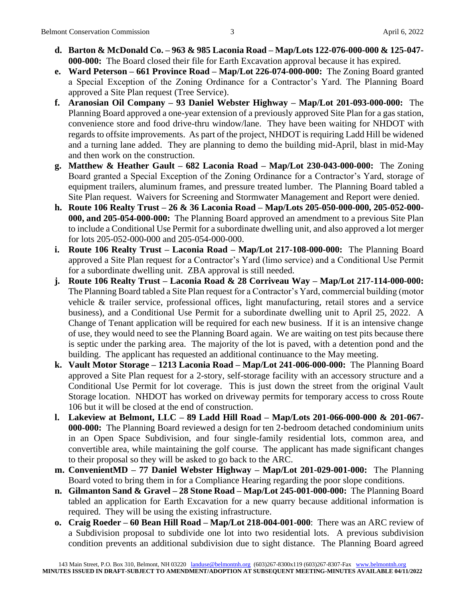- **d. Barton & McDonald Co. – 963 & 985 Laconia Road – Map/Lots 122-076-000-000 & 125-047- 000-000:** The Board closed their file for Earth Excavation approval because it has expired.
- **e. Ward Peterson – 661 Province Road – Map/Lot 226-074-000-000:** The Zoning Board granted a Special Exception of the Zoning Ordinance for a Contractor's Yard. The Planning Board approved a Site Plan request (Tree Service).
- **f. Aranosian Oil Company – 93 Daniel Webster Highway – Map/Lot 201-093-000-000:** The Planning Board approved a one-year extension of a previously approved Site Plan for a gas station, convenience store and food drive-thru window/lane. They have been waiting for NHDOT with regards to offsite improvements. As part of the project, NHDOT is requiring Ladd Hill be widened and a turning lane added. They are planning to demo the building mid-April, blast in mid-May and then work on the construction.
- **g. Matthew & Heather Gault – 682 Laconia Road – Map/Lot 230-043-000-000:** The Zoning Board granted a Special Exception of the Zoning Ordinance for a Contractor's Yard, storage of equipment trailers, aluminum frames, and pressure treated lumber. The Planning Board tabled a Site Plan request. Waivers for Screening and Stormwater Management and Report were denied.
- **h. Route 106 Realty Trust – 26 & 36 Laconia Road – Map/Lots 205-050-000-000, 205-052-000- 000, and 205-054-000-000:** The Planning Board approved an amendment to a previous Site Plan to include a Conditional Use Permit for a subordinate dwelling unit, and also approved a lot merger for lots 205-052-000-000 and 205-054-000-000.
- **i. Route 106 Realty Trust – Laconia Road – Map/Lot 217-108-000-000:** The Planning Board approved a Site Plan request for a Contractor's Yard (limo service) and a Conditional Use Permit for a subordinate dwelling unit. ZBA approval is still needed.
- **j. Route 106 Realty Trust – Laconia Road & 28 Corriveau Way – Map/Lot 217-114-000-000:** The Planning Board tabled a Site Plan request for a Contractor's Yard, commercial building (motor vehicle & trailer service, professional offices, light manufacturing, retail stores and a service business), and a Conditional Use Permit for a subordinate dwelling unit to April 25, 2022. A Change of Tenant application will be required for each new business. If it is an intensive change of use, they would need to see the Planning Board again. We are waiting on test pits because there is septic under the parking area. The majority of the lot is paved, with a detention pond and the building. The applicant has requested an additional continuance to the May meeting.
- **k. Vault Motor Storage – 1213 Laconia Road – Map/Lot 241-006-000-000:** The Planning Board approved a Site Plan request for a 2-story, self-storage facility with an accessory structure and a Conditional Use Permit for lot coverage. This is just down the street from the original Vault Storage location. NHDOT has worked on driveway permits for temporary access to cross Route 106 but it will be closed at the end of construction.
- **l. Lakeview at Belmont, LLC – 89 Ladd Hill Road – Map/Lots 201-066-000-000 & 201-067- 000-000:** The Planning Board reviewed a design for ten 2-bedroom detached condominium units in an Open Space Subdivision, and four single-family residential lots, common area, and convertible area, while maintaining the golf course. The applicant has made significant changes to their proposal so they will be asked to go back to the ARC.
- **m. ConvenientMD – 77 Daniel Webster Highway – Map/Lot 201-029-001-000:** The Planning Board voted to bring them in for a Compliance Hearing regarding the poor slope conditions.
- **n. Gilmanton Sand & Gravel – 28 Stone Road – Map/Lot 245-001-000-000:** The Planning Board tabled an application for Earth Excavation for a new quarry because additional information is required. They will be using the existing infrastructure.
- **o. Craig Roeder – 60 Bean Hill Road – Map/Lot 218-004-001-000**: There was an ARC review of a Subdivision proposal to subdivide one lot into two residential lots. A previous subdivision condition prevents an additional subdivision due to sight distance. The Planning Board agreed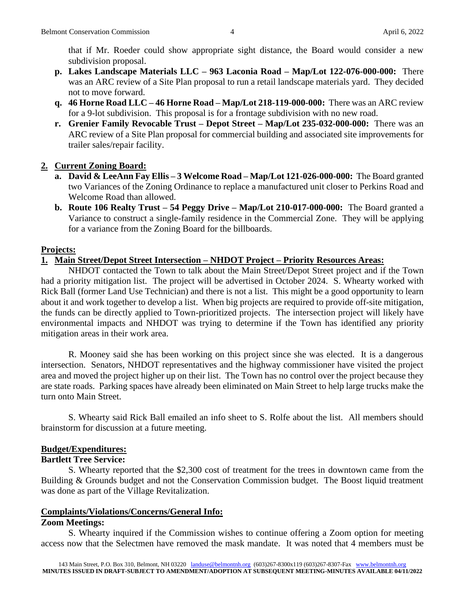that if Mr. Roeder could show appropriate sight distance, the Board would consider a new subdivision proposal.

- **p. Lakes Landscape Materials LLC – 963 Laconia Road – Map/Lot 122-076-000-000:** There was an ARC review of a Site Plan proposal to run a retail landscape materials yard. They decided not to move forward.
- **q. 46 Horne Road LLC – 46 Horne Road – Map/Lot 218-119-000-000:** There was an ARC review for a 9-lot subdivision. This proposal is for a frontage subdivision with no new road.
- **r. Grenier Family Revocable Trust – Depot Street – Map/Lot 235-032-000-000:** There was an ARC review of a Site Plan proposal for commercial building and associated site improvements for trailer sales/repair facility.

## **2. Current Zoning Board:**

- **a. David & LeeAnn Fay Ellis – 3 Welcome Road – Map/Lot 121-026-000-000:** The Board granted two Variances of the Zoning Ordinance to replace a manufactured unit closer to Perkins Road and Welcome Road than allowed.
- **b. Route 106 Realty Trust – 54 Peggy Drive – Map/Lot 210-017-000-000:** The Board granted a Variance to construct a single-family residence in the Commercial Zone. They will be applying for a variance from the Zoning Board for the billboards.

### **Projects:**

### **1. Main Street/Depot Street Intersection – NHDOT Project – Priority Resources Areas:**

NHDOT contacted the Town to talk about the Main Street/Depot Street project and if the Town had a priority mitigation list. The project will be advertised in October 2024. S. Whearty worked with Rick Ball (former Land Use Technician) and there is not a list. This might be a good opportunity to learn about it and work together to develop a list. When big projects are required to provide off-site mitigation, the funds can be directly applied to Town-prioritized projects. The intersection project will likely have environmental impacts and NHDOT was trying to determine if the Town has identified any priority mitigation areas in their work area.

R. Mooney said she has been working on this project since she was elected. It is a dangerous intersection. Senators, NHDOT representatives and the highway commissioner have visited the project area and moved the project higher up on their list. The Town has no control over the project because they are state roads. Parking spaces have already been eliminated on Main Street to help large trucks make the turn onto Main Street.

S. Whearty said Rick Ball emailed an info sheet to S. Rolfe about the list. All members should brainstorm for discussion at a future meeting.

## **Budget/Expenditures:**

## **Bartlett Tree Service:**

S. Whearty reported that the \$2,300 cost of treatment for the trees in downtown came from the Building & Grounds budget and not the Conservation Commission budget. The Boost liquid treatment was done as part of the Village Revitalization.

#### **Complaints/Violations/Concerns/General Info:**

#### **Zoom Meetings:**

S. Whearty inquired if the Commission wishes to continue offering a Zoom option for meeting access now that the Selectmen have removed the mask mandate. It was noted that 4 members must be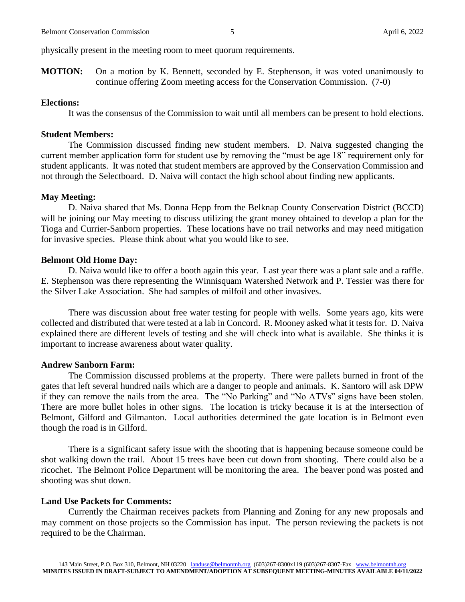physically present in the meeting room to meet quorum requirements.

**MOTION:** On a motion by K. Bennett, seconded by E. Stephenson, it was voted unanimously to continue offering Zoom meeting access for the Conservation Commission. (7-0)

#### **Elections:**

It was the consensus of the Commission to wait until all members can be present to hold elections.

#### **Student Members:**

The Commission discussed finding new student members. D. Naiva suggested changing the current member application form for student use by removing the "must be age 18" requirement only for student applicants. It was noted that student members are approved by the Conservation Commission and not through the Selectboard. D. Naiva will contact the high school about finding new applicants.

#### **May Meeting:**

D. Naiva shared that Ms. Donna Hepp from the Belknap County Conservation District (BCCD) will be joining our May meeting to discuss utilizing the grant money obtained to develop a plan for the Tioga and Currier-Sanborn properties. These locations have no trail networks and may need mitigation for invasive species. Please think about what you would like to see.

#### **Belmont Old Home Day:**

D. Naiva would like to offer a booth again this year. Last year there was a plant sale and a raffle. E. Stephenson was there representing the Winnisquam Watershed Network and P. Tessier was there for the Silver Lake Association. She had samples of milfoil and other invasives.

There was discussion about free water testing for people with wells. Some years ago, kits were collected and distributed that were tested at a lab in Concord. R. Mooney asked what it tests for. D. Naiva explained there are different levels of testing and she will check into what is available. She thinks it is important to increase awareness about water quality.

#### **Andrew Sanborn Farm:**

The Commission discussed problems at the property. There were pallets burned in front of the gates that left several hundred nails which are a danger to people and animals. K. Santoro will ask DPW if they can remove the nails from the area. The "No Parking" and "No ATVs" signs have been stolen. There are more bullet holes in other signs. The location is tricky because it is at the intersection of Belmont, Gilford and Gilmanton. Local authorities determined the gate location is in Belmont even though the road is in Gilford.

There is a significant safety issue with the shooting that is happening because someone could be shot walking down the trail. About 15 trees have been cut down from shooting. There could also be a ricochet. The Belmont Police Department will be monitoring the area. The beaver pond was posted and shooting was shut down.

#### **Land Use Packets for Comments:**

Currently the Chairman receives packets from Planning and Zoning for any new proposals and may comment on those projects so the Commission has input. The person reviewing the packets is not required to be the Chairman.